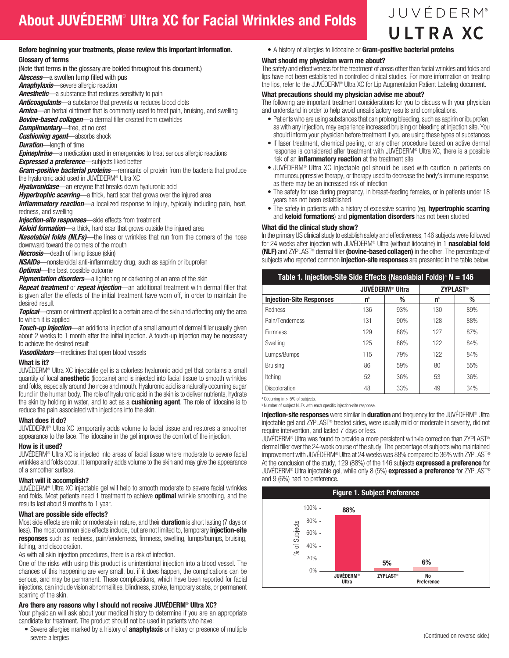# JUVÉDERM® **ULTRAXC**

## Before beginning your treatments, please review this important information.

Glossary of terms

(Note that terms in the glossary are bolded throughout this document.)

*Abscess*—a swollen lump filled with pus

*Anaphylaxis*—severe allergic reaction

*Anesthetic*—a substance that reduces sensitivity to pain

*Anticoagulants*—a substance that prevents or reduces blood clots

**Arnica**—an herbal ointment that is commonly used to treat pain, bruising, and swelling *Bovine-based collagen*—a dermal filler created from cowhides

*Complimentary*—free, at no cost

*Cushioning agent*—absorbs shock

*Duration*—length of time

**Epinephrine**—a medication used in emergencies to treat serious allergic reactions

## *Expressed a preference*—subjects liked better

*Gram-positive bacterial proteins*—remnants of protein from the bacteria that produce the hyaluronic acid used in JUVÉDERM® Ultra XC

*Hyaluronidase*—an enzyme that breaks down hyaluronic acid

*Hypertrophic scarring*—a thick, hard scar that grows over the injured area

**Inflammatory reaction**—a localized response to injury, typically including pain, heat, redness, and swelling

**Injection-site responses**—side effects from treatment

*Keloid formation*—a thick, hard scar that grows outside the injured area

*Nasolabial folds (NLFs)*—the lines or wrinkles that run from the corners of the nose downward toward the corners of the mouth

*Necrosis*—death of living tissue (skin)

*NSAIDs*—nonsteroidal anti-inflammatory drug, such as aspirin or ibuprofen

**Optimal**—the best possible outcome

*Pigmentation disorders*—a lightening or darkening of an area of the skin

*Repeat treatment* or *repeat injection*—an additional treatment with dermal filler that is given after the effects of the initial treatment have worn off, in order to maintain the desired result

**Topical**—cream or ointment applied to a certain area of the skin and affecting only the area to which it is applied

*Touch-up injection*—an additional injection of a small amount of dermal filler usually given about 2 weeks to 1 month after the initial injection. A touch-up injection may be necessary to achieve the desired result

*Vasodilators*—medicines that open blood vessels

## What is it?

JUVÉDERM® Ultra XC injectable gel is a colorless hyaluronic acid gel that contains a small quantity of local **anesthetic** (lidocaine) and is injected into facial tissue to smooth wrinkles and folds, especially around the nose and mouth. Hyaluronic acid is a naturally occurring sugar found in the human body. The role of hyaluronic acid in the skin is to deliver nutrients, hydrate the skin by holding in water, and to act as a **cushioning agent**. The role of lidocaine is to reduce the pain associated with injections into the skin.

## What does it do?

JUVÉDERM® Ultra XC temporarily adds volume to facial tissue and restores a smoother appearance to the face. The lidocaine in the gel improves the comfort of the injection.

### How is it used?

JUVÉDERM® Ultra XC is injected into areas of facial tissue where moderate to severe facial wrinkles and folds occur. It temporarily adds volume to the skin and may give the appearance of a smoother surface.

### What will it accomplish?

JUVÉDERM® Ultra XC injectable gel will help to smooth moderate to severe facial wrinkles and folds. Most patients need 1 treatment to achieve **optimal** wrinkle smoothing, and the results last about 9 months to 1 year.

## What are possible side effects?

Most side effects are mild or moderate in nature, and their **duration** is short lasting (7 days or less). The most common side effects include, but are not limited to, temporary *injection-site* responses such as: redness, pain/tenderness, firmness, swelling, lumps/bumps, bruising, itching, and discoloration.

As with all skin injection procedures, there is a risk of infection.

One of the risks with using this product is unintentional injection into a blood vessel. The chances of this happening are very small, but if it does happen, the complications can be serious, and may be permanent. These complications, which have been reported for facial injections, can include vision abnormalities, blindness, stroke, temporary scabs, or permanent scarring of the skin.

# Are there any reasons why I should not receive JUVÉDERM® Ultra XC?

Your physician will ask about your medical history to determine if you are an appropriate candidate for treatment. The product should not be used in patients who have:

• Severe allergies marked by a history of **anaphylaxis** or history or presence of multiple severe allergies

# • A history of allergies to lidocaine or Gram-positive bacterial proteins

## What should my physician warn me about?

The safety and effectiveness for the treatment of areas other than facial wrinkles and folds and lips have not been established in controlled clinical studies. For more information on treating the lips, refer to the JUVÉDERM® Ultra XC for Lip Augmentation Patient Labeling document.

## What precautions should my physician advise me about?

The following are important treatment considerations for you to discuss with your physician and understand in order to help avoid unsatisfactory results and complications.

- Patients who are using substances that can prolong bleeding, such as aspirin or ibuprofen, as with any injection, may experience increased bruising or bleeding at injection site. You should inform your physician before treatment if you are using these types of substances
- If laser treatment, chemical peeling, or any other procedure based on active dermal response is considered after treatment with JUVÉDERM® Ultra XC, there is a possible risk of an **inflammatory reaction** at the treatment site
- JUVÉDERM® Ultra XC injectable gel should be used with caution in patients on immunosuppressive therapy, or therapy used to decrease the body's immune response, as there may be an increased risk of infection
- The safety for use during pregnancy, in breast-feeding females, or in patients under 18 years has not been established
- The safety in patients with a history of excessive scarring (eg, hypertrophic scarring and keloid formations) and pigmentation disorders has not been studied

## What did the clinical study show?

In the primary US clinical study to establish safety and effectiveness, 146 subjects were followed for 24 weeks after injection with JUVÉDERM® Ultra (without lidocaine) in 1 nasolabial fold (NLF) and ZYPLAST® dermal filler (bovine-based collagen) in the other. The percentage of subjects who reported common *injection-site responses* are presented in the table below.

| Table 1. Injection-Site Side Effects (Nasolabial Folds) <sup>a</sup> $N = 146$ |                             |     |                 |     |
|--------------------------------------------------------------------------------|-----------------------------|-----|-----------------|-----|
|                                                                                | JUVÉDERM <sup>®</sup> Ultra |     | <b>ZYPLAST®</b> |     |
| <b>Injection-Site Responses</b>                                                | n <sub>p</sub>              | %   | n <sub>p</sub>  | %   |
| Redness                                                                        | 136                         | 93% | 130             | 89% |
| Pain/Tenderness                                                                | 131                         | 90% | 128             | 88% |
| <b>Firmness</b>                                                                | 129                         | 88% | 127             | 87% |
| Swelling                                                                       | 125                         | 86% | 122             | 84% |
| Lumps/Bumps                                                                    | 115                         | 79% | 122             | 84% |
| <b>Bruising</b>                                                                | 86                          | 59% | 80              | 55% |
| Itching                                                                        | 52                          | 36% | 53              | 36% |
| Discoloration                                                                  | 48                          | 33% | 49              | 34% |

 $a$  Occurring in  $>$  5% of subjects.

<sup>b</sup> Number of subject NLFs with each specific injection-site response.

**Injection-site responses** were similar in **duration** and frequency for the JUVÉDERM® Ultra injectable gel and ZYPLAST® treated sides, were usually mild or moderate in severity, did not require intervention, and lasted 7 days or less.

JUVÉDERM® Ultra was found to provide a more persistent wrinkle correction than ZYPLAST® dermal filler over the 24-week course of the study. The percentage of subjects who maintained improvement with JUVÉDERM® Ultra at 24 weeks was 88% compared to 36% with ZYPLAST® . At the conclusion of the study, 129 (88%) of the 146 subjects expressed a preference for JUVÉDERM® Ultra injectable gel, while only 8 (5%) expressed a preference for ZYPLAST®, and 9 (6%) had no preference.